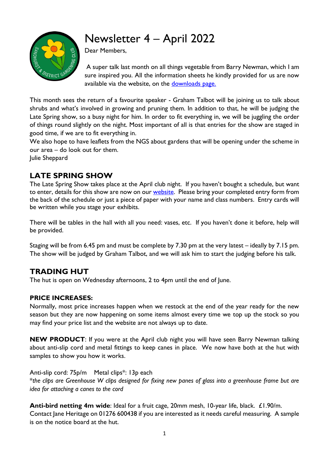# Newsletter 4 – April 2022



Dear Members,

A super talk last month on all things vegetable from Barry Newman, which I am sure inspired you. All the information sheets he kindly provided for us are now available via the website, on the [downloads page.](http://www.sandhurstgardeningclub.co.uk/download.html)

This month sees the return of a favourite speaker - Graham Talbot will be joining us to talk about shrubs and what's involved in growing and pruning them. In addition to that, he will be judging the Late Spring show, so a busy night for him. In order to fit everything in, we will be juggling the order of things round slightly on the night. Most important of all is that entries for the show are staged in good time, if we are to fit everything in.

We also hope to have leaflets from the NGS about gardens that will be opening under the scheme in our area – do look out for them.

Julie Sheppard

## **LATE SPRING SHOW**

The Late Spring Show takes place at the April club night. If you haven't bought a schedule, but want to enter, details for this show are now on our **website**. Please bring your completed entry form from the back of the schedule or just a piece of paper with your name and class numbers. Entry cards will be written while you stage your exhibits.

There will be tables in the hall with all you need: vases, etc. If you haven't done it before, help will be provided.

Staging will be from 6.45 pm and must be complete by 7.30 pm at the very latest – ideally by 7.15 pm. The show will be judged by Graham Talbot, and we will ask him to start the judging before his talk.

### **TRADING HUT**

The hut is open on Wednesday afternoons, 2 to 4pm until the end of June.

#### **PRICE INCREASES:**

Normally, most price increases happen when we restock at the end of the year ready for the new season but they are now happening on some items almost every time we top up the stock so you may find your price list and the website are not always up to date.

**NEW PRODUCT**: If you were at the April club night you will have seen Barry Newman talking about anti-slip cord and metal fittings to keep canes in place. We now have both at the hut with samples to show you how it works.

Anti-slip cord: 75p/m Metal clips\*: 13p each \**the clips are Greenhouse W clips designed for fixing new panes of glass into a greenhouse frame but are idea for attaching a canes to the cord*

**Anti-bird netting 4m wide**: Ideal for a fruit cage, 20mm mesh, 10-year life, black. £1.90/m. Contact Jane Heritage on 01276 600438 if you are interested as it needs careful measuring. A sample is on the notice board at the hut.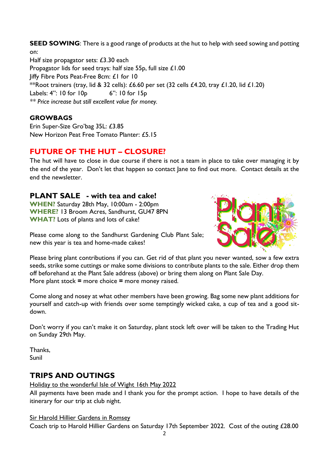**SEED SOWING**: There is a good range of products at the hut to help with seed sowing and potting on: Half size propagator sets: £3.30 each Propagator lids for seed trays: half size 55p, full size £1.00 Jiffy Fibre Pots Peat-Free 8cm: £1 for 10 \*\*Root trainers (tray, lid & 32 cells):  $£6.60$  per set (32 cells  $£4.20$ , tray  $£1.20$ , lid  $£1.20$ ) Labels: 4": 10 for 10p 6": 10 for 15p *\*\* Price increase but still excellent value for money.*

#### **GROWBAGS**

Erin Super-Size Gro'bag 35L: £3.85 New Horizon Peat Free Tomato Planter: £5.15

#### **FUTURE OF THE HUT – CLOSURE?**

The hut will have to close in due course if there is not a team in place to take over managing it by the end of the year. Don't let that happen so contact Jane to find out more. Contact details at the end the newsletter.

#### **PLANT SALE - with tea and cake!**

**WHEN?** Saturday 28th May, 10:00am - 2:00pm **WHERE?** 13 Broom Acres, Sandhurst, GU47 8PN **WHAT?** Lots of plants and lots of cake!



Please come along to the Sandhurst Gardening Club Plant Sale; new this year is tea and home-made cakes!

Please bring plant contributions if you can. Get rid of that plant you never wanted, sow a few extra seeds, strike some cuttings or make some divisions to contribute plants to the sale. Either drop them off beforehand at the Plant Sale address (above) or bring them along on Plant Sale Day. More plant stock **=** more choice **=** more money raised.

Come along and nosey at what other members have been growing. Bag some new plant additions for yourself and catch-up with friends over some temptingly wicked cake, a cup of tea and a good sitdown.

Don't worry if you can't make it on Saturday, plant stock left over will be taken to the Trading Hut on Sunday 29th May.

Thanks, Sunil

# **TRIPS AND OUTINGS**

Holiday to the wonderful Isle of Wight 16th May 2022

All payments have been made and I thank you for the prompt action. I hope to have details of the itinerary for our trip at club night.

#### Sir Harold Hillier Gardens in Romsey

Coach trip to Harold Hillier Gardens on Saturday 17th September 2022. Cost of the outing £28.00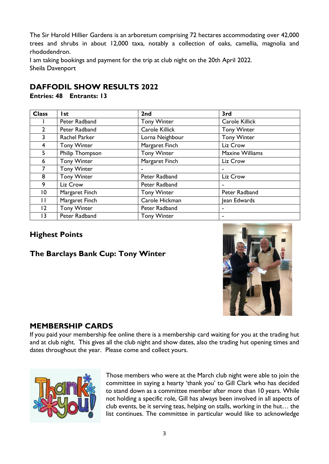The Sir Harold Hillier Gardens is an arboretum comprising 72 hectares accommodating over 42,000 trees and shrubs in about 12,000 taxa, notably a collection of oaks, camellia, magnolia and rhododendron.

I am taking bookings and payment for the trip at club night on the 20th April 2022. Sheila Davenport

# **DAFFODIL SHOW RESULTS 2022**

**Entries: 48 Entrants: 13**

| <b>Class</b>    | l st               | 2 <sub>nd</sub>    | 3rd                    |
|-----------------|--------------------|--------------------|------------------------|
|                 | Peter Radband      | <b>Tony Winter</b> | Carole Killick         |
| $\mathbf{2}$    | Peter Radband      | Carole Killick     | <b>Tony Winter</b>     |
| $\overline{3}$  | Rachel Parker      | Lorna Neighbour    | <b>Tony Winter</b>     |
| 4               | <b>Tony Winter</b> | Margaret Finch     | Liz Crow               |
| 5               | Philip Thompson    | <b>Tony Winter</b> | <b>Maxine Williams</b> |
| 6               | <b>Tony Winter</b> | Margaret Finch     | Liz Crow               |
| $7^{\circ}$     | <b>Tony Winter</b> |                    |                        |
| 8               | <b>Tony Winter</b> | Peter Radband      | Liz Crow               |
| 9               | Liz Crow           | Peter Radband      | $\blacksquare$         |
| $\overline{10}$ | Margaret Finch     | <b>Tony Winter</b> | Peter Radband          |
| $\mathbf{H}$    | Margaret Finch     | Carole Hickman     | Jean Edwards           |
| $\overline{2}$  | <b>Tony Winter</b> | Peter Radband      | $\blacksquare$         |
| 13              | Peter Radband      | <b>Tony Winter</b> | $\blacksquare$         |

# **Highest Points**

# **The Barclays Bank Cup: Tony Winter**



# **MEMBERSHIP CARDS**

If you paid your membership fee online there is a membership card waiting for you at the trading hut and at club night. This gives all the club night and show dates, also the trading hut opening times and dates throughout the year. Please come and collect yours.



Those members who were at the March club night were able to join the committee in saying a hearty 'thank you' to Gill Clark who has decided to stand down as a committee member after more than 10 years. While not holding a specific role, Gill has always been involved in all aspects of club events, be it serving teas, helping on stalls, working in the hut… the list continues. The committee in particular would like to acknowledge